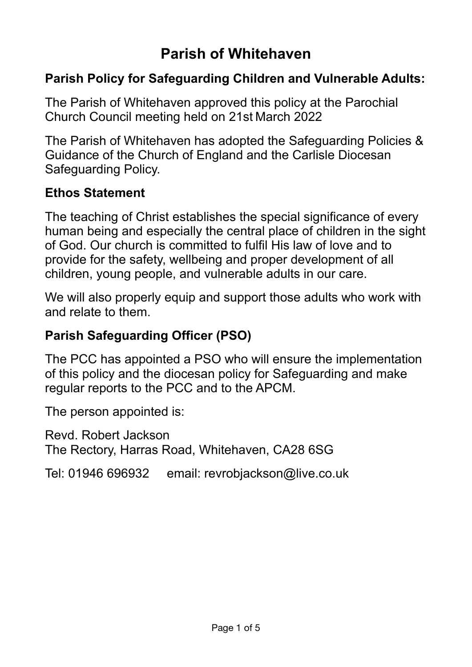# **Parish of Whitehaven**

# **Parish Policy for Safeguarding Children and Vulnerable Adults:**

The Parish of Whitehaven approved this policy at the Parochial Church Council meeting held on 21st March 2022

The Parish of Whitehaven has adopted the Safeguarding Policies & Guidance of the Church of England and the Carlisle Diocesan Safeguarding Policy.

#### **Ethos Statement**

The teaching of Christ establishes the special significance of every human being and especially the central place of children in the sight of God. Our church is committed to fulfil His law of love and to provide for the safety, wellbeing and proper development of all children, young people, and vulnerable adults in our care.

We will also properly equip and support those adults who work with and relate to them.

# **Parish Safeguarding Officer (PSO)**

The PCC has appointed a PSO who will ensure the implementation of this policy and the diocesan policy for Safeguarding and make regular reports to the PCC and to the APCM.

The person appointed is:

Revd. Robert Jackson The Rectory, Harras Road, Whitehaven, CA28 6SG

Tel: 01946 696932 email: revrobjackson@live.co.uk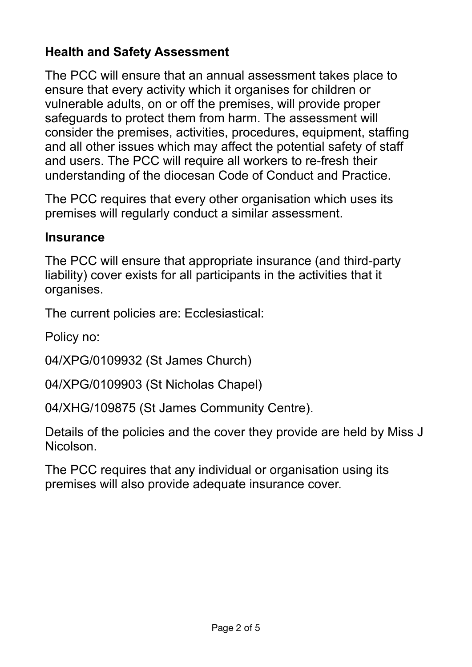# **Health and Safety Assessment**

The PCC will ensure that an annual assessment takes place to ensure that every activity which it organises for children or vulnerable adults, on or off the premises, will provide proper safeguards to protect them from harm. The assessment will consider the premises, activities, procedures, equipment, staffing and all other issues which may affect the potential safety of staff and users. The PCC will require all workers to re-fresh their understanding of the diocesan Code of Conduct and Practice.

The PCC requires that every other organisation which uses its premises will regularly conduct a similar assessment.

#### **Insurance**

The PCC will ensure that appropriate insurance (and third-party liability) cover exists for all participants in the activities that it organises.

The current policies are: Ecclesiastical:

Policy no:

04/XPG/0109932 (St James Church)

04/XPG/0109903 (St Nicholas Chapel)

04/XHG/109875 (St James Community Centre).

Details of the policies and the cover they provide are held by Miss J Nicolson.

The PCC requires that any individual or organisation using its premises will also provide adequate insurance cover.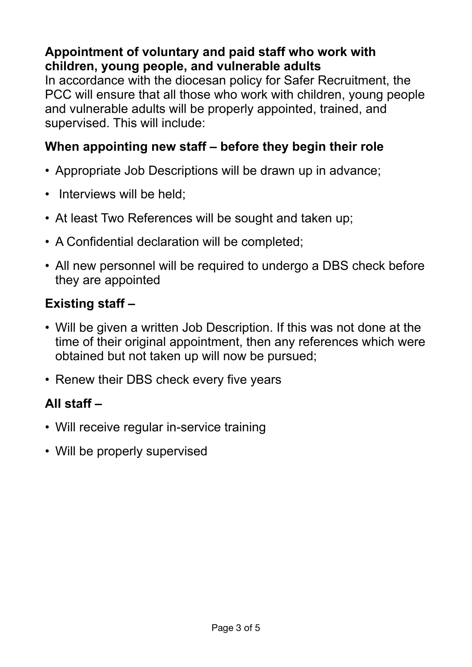# **Appointment of voluntary and paid staff who work with children, young people, and vulnerable adults**

In accordance with the diocesan policy for Safer Recruitment, the PCC will ensure that all those who work with children, young people and vulnerable adults will be properly appointed, trained, and supervised. This will include:

### **When appointing new staff – before they begin their role**

- Appropriate Job Descriptions will be drawn up in advance;
- Interviews will be held;
- At least Two References will be sought and taken up;
- A Confidential declaration will be completed;
- All new personnel will be required to undergo a DBS check before they are appointed

# **Existing staff –**

- Will be given a written Job Description. If this was not done at the time of their original appointment, then any references which were obtained but not taken up will now be pursued;
- Renew their DBS check every five years

# **All staff –**

- Will receive regular in-service training
- Will be properly supervised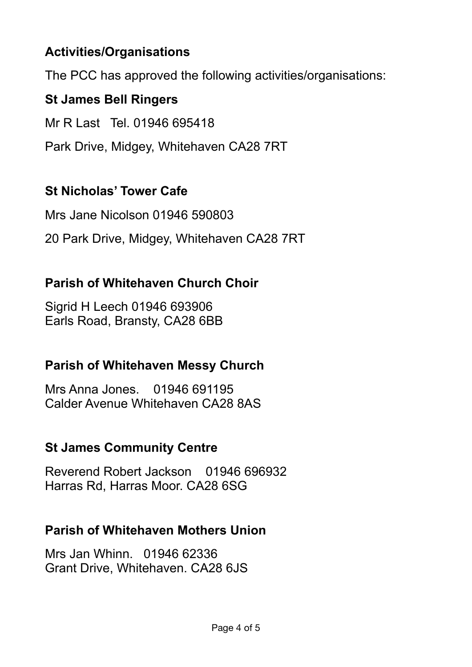# **Activities/Organisations**

The PCC has approved the following activities/organisations:

# **St James Bell Ringers**

Mr R Last Tel. 01946 695418

Park Drive, Midgey, Whitehaven CA28 7RT

### **St Nicholas' Tower Cafe**

Mrs Jane Nicolson 01946 590803

20 Park Drive, Midgey, Whitehaven CA28 7RT

#### **Parish of Whitehaven Church Choir**

Sigrid H Leech 01946 693906 Earls Road, Bransty, CA28 6BB

#### **Parish of Whitehaven Messy Church**

Mrs Anna Jones. 01946 691195 Calder Avenue Whitehaven CA28 8AS

#### **St James Community Centre**

Reverend Robert Jackson 01946 696932 Harras Rd, Harras Moor. CA28 6SG

#### **Parish of Whitehaven Mothers Union**

Mrs Jan Whinn. 01946 62336 Grant Drive, Whitehaven. CA28 6JS